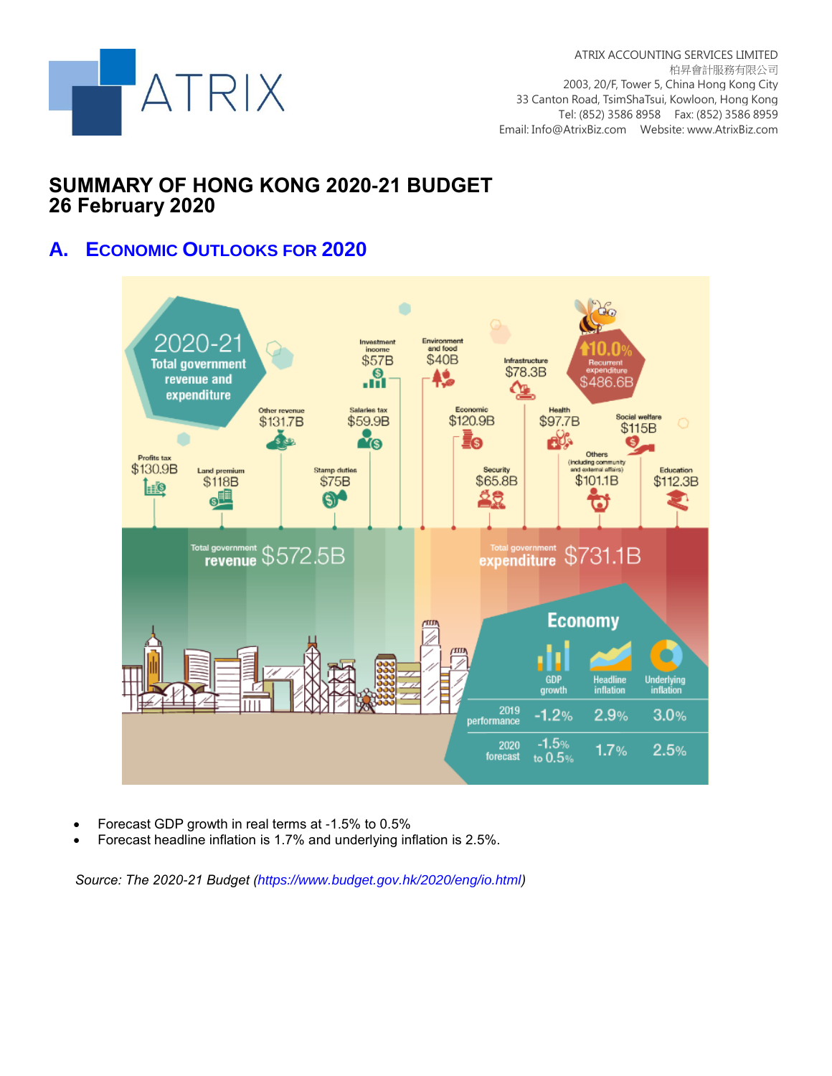

# **SUMMARY OF HONG KONG 2020-21 BUDGET 26 February 2020**

# **A. ECONOMIC OUTLOOKS FOR 2020**



- Forecast GDP growth in real terms at -1.5% to 0.5%
- Forecast headline inflation is 1.7% and underlying inflation is 2.5%.

*Source: The 2020-21 Budget (https://www.budget.gov.hk/2020/eng/io.html)*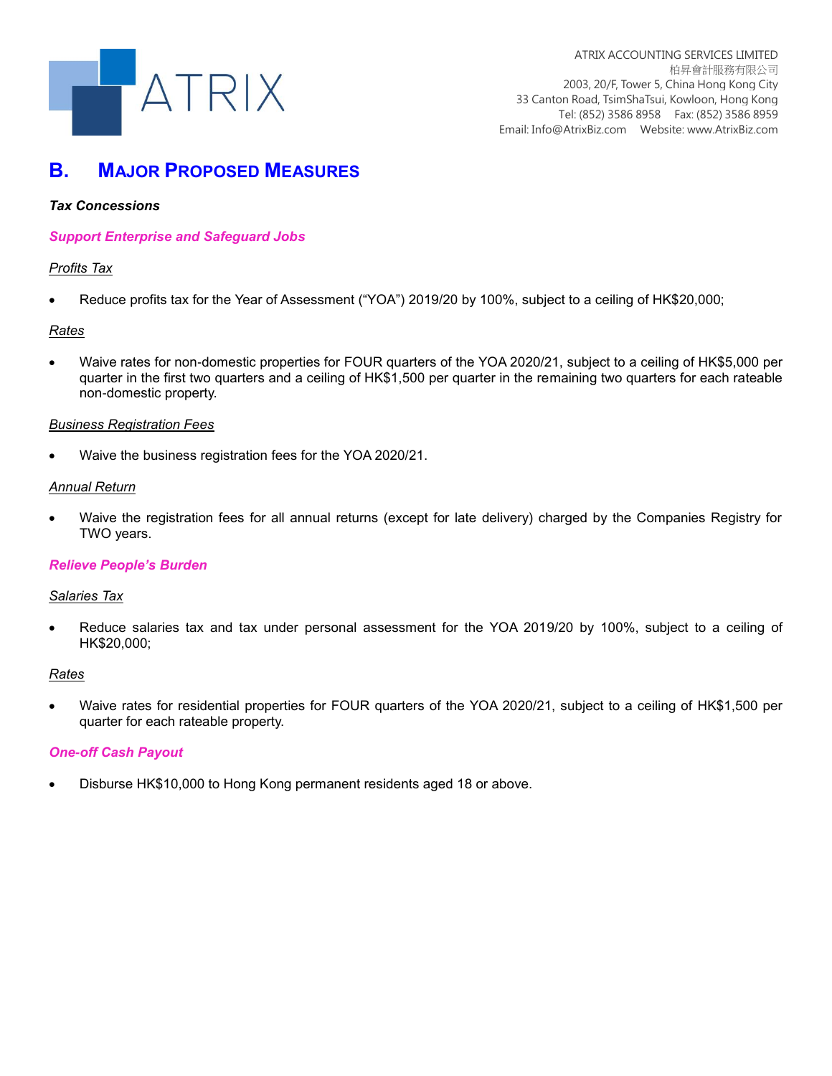

# **B. MAJOR PROPOSED MEASURES**

## *Tax Concessions*

### *Support Enterprise and Safeguard Jobs*

## *Profits Tax*

Reduce profits tax for the Year of Assessment ("YOA") 2019/20 by 100%, subject to a ceiling of HK\$20,000;

#### *Rates*

 Waive rates for non-domestic properties for FOUR quarters of the YOA 2020/21, subject to a ceiling of HK\$5,000 per quarter in the first two quarters and a ceiling of HK\$1,500 per quarter in the remaining two quarters for each rateable non-domestic property.

## *Business Registration Fees*

Waive the business registration fees for the YOA 2020/21.

#### *Annual Return*

 Waive the registration fees for all annual returns (except for late delivery) charged by the Companies Registry for TWO years.

#### *Relieve People's Burden*

#### *Salaries Tax*

 Reduce salaries tax and tax under personal assessment for the YOA 2019/20 by 100%, subject to a ceiling of HK\$20,000;

#### *Rates*

 Waive rates for residential properties for FOUR quarters of the YOA 2020/21, subject to a ceiling of HK\$1,500 per quarter for each rateable property.

#### *One-off Cash Payout*

Disburse HK\$10,000 to Hong Kong permanent residents aged 18 or above.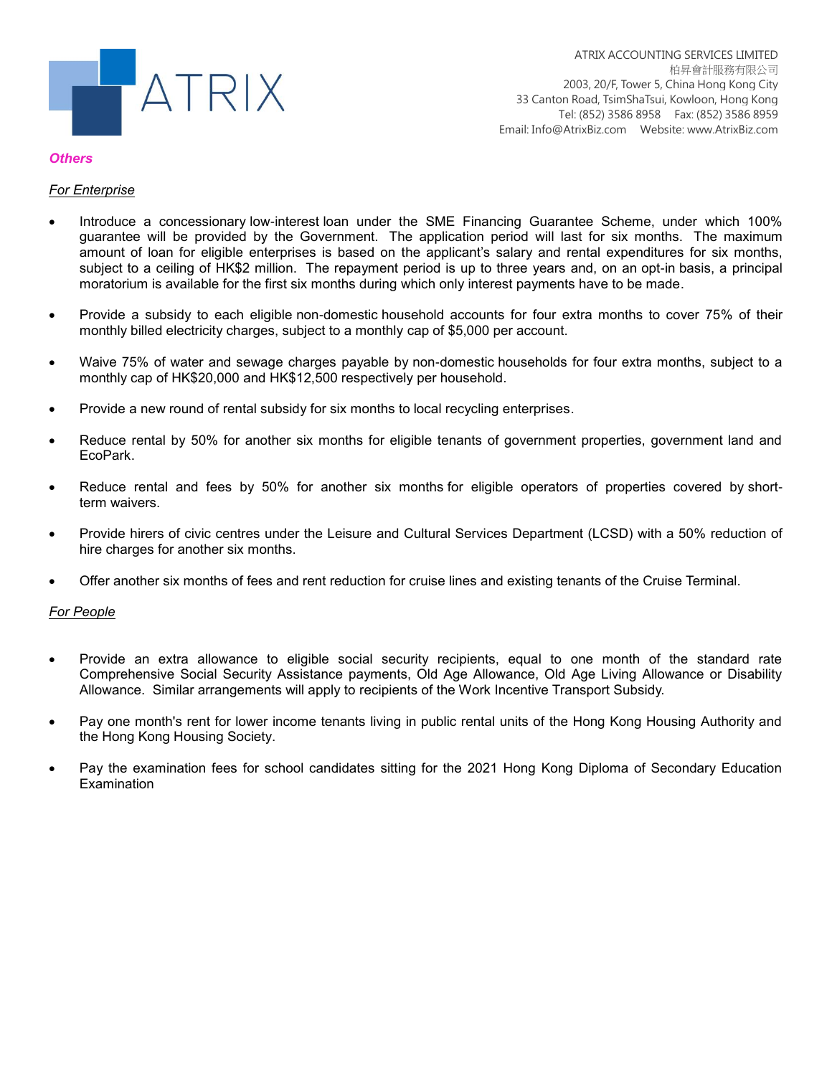

#### *Others*

## *For Enterprise*

- Introduce a concessionary low-interest loan under the SME Financing Guarantee Scheme, under which 100% guarantee will be provided by the Government. The application period will last for six months. The maximum amount of loan for eligible enterprises is based on the applicant's salary and rental expenditures for six months, subject to a ceiling of HK\$2 million. The repayment period is up to three years and, on an opt-in basis, a principal moratorium is available for the first six months during which only interest payments have to be made.
- Provide a subsidy to each eligible non-domestic household accounts for four extra months to cover 75% of their monthly billed electricity charges, subject to a monthly cap of \$5,000 per account.
- Waive 75% of water and sewage charges payable by non-domestic households for four extra months, subject to a monthly cap of HK\$20,000 and HK\$12,500 respectively per household.
- Provide a new round of rental subsidy for six months to local recycling enterprises.
- Reduce rental by 50% for another six months for eligible tenants of government properties, government land and EcoPark.
- Reduce rental and fees by 50% for another six months for eligible operators of properties covered by shortterm waivers.
- Provide hirers of civic centres under the Leisure and Cultural Services Department (LCSD) with a 50% reduction of hire charges for another six months.
- Offer another six months of fees and rent reduction for cruise lines and existing tenants of the Cruise Terminal.

#### *For People*

- Provide an extra allowance to eligible social security recipients, equal to one month of the standard rate Comprehensive Social Security Assistance payments, Old Age Allowance, Old Age Living Allowance or Disability Allowance. Similar arrangements will apply to recipients of the Work Incentive Transport Subsidy.
- Pay one month's rent for lower income tenants living in public rental units of the Hong Kong Housing Authority and the Hong Kong Housing Society.
- Pay the examination fees for school candidates sitting for the 2021 Hong Kong Diploma of Secondary Education **Examination**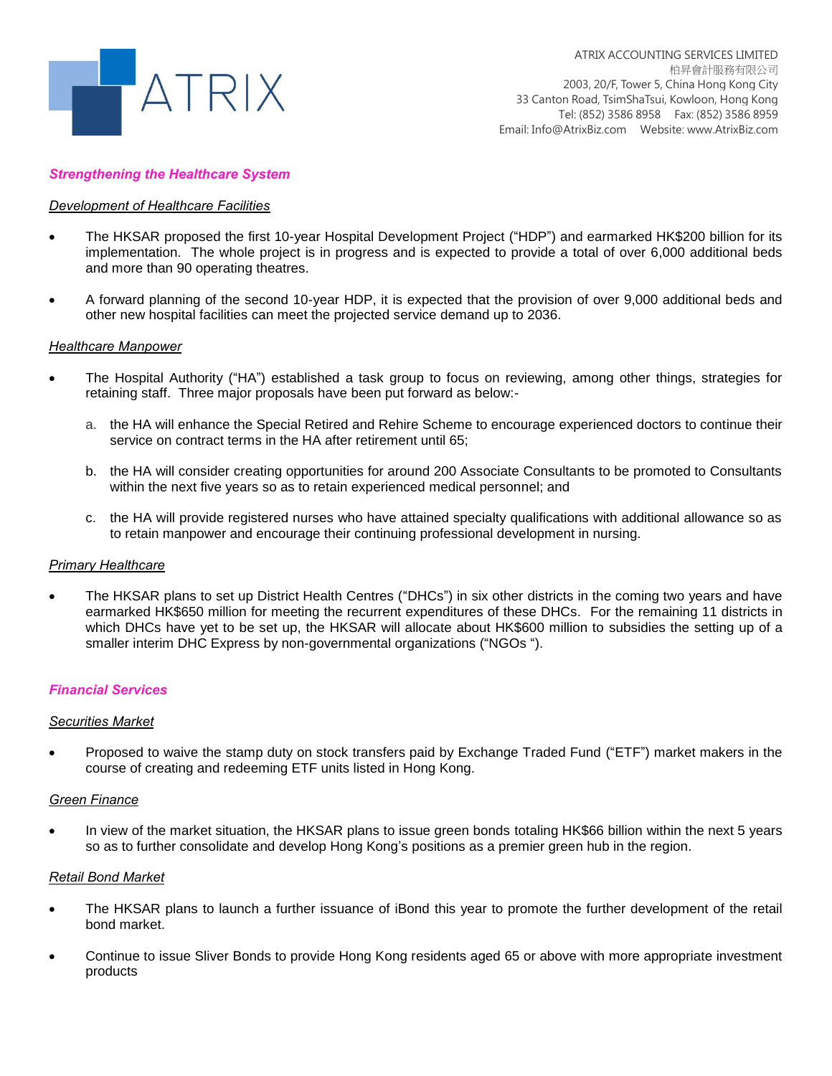

#### *Strengthening the Healthcare System*

#### *Development of Healthcare Facilities*

- The HKSAR proposed the first 10-year Hospital Development Project ("HDP") and earmarked HK\$200 billion for its implementation. The whole project is in progress and is expected to provide a total of over 6,000 additional beds and more than 90 operating theatres.
- A forward planning of the second 10-year HDP, it is expected that the provision of over 9,000 additional beds and other new hospital facilities can meet the projected service demand up to 2036.

#### *Healthcare Manpower*

- The Hospital Authority ("HA") established a task group to focus on reviewing, among other things, strategies for retaining staff. Three major proposals have been put forward as below:
	- a. the HA will enhance the Special Retired and Rehire Scheme to encourage experienced doctors to continue their service on contract terms in the HA after retirement until 65;
	- b. the HA will consider creating opportunities for around 200 Associate Consultants to be promoted to Consultants within the next five years so as to retain experienced medical personnel; and
	- c. the HA will provide registered nurses who have attained specialty qualifications with additional allowance so as to retain manpower and encourage their continuing professional development in nursing.

#### *Primary Healthcare*

 The HKSAR plans to set up District Health Centres ("DHCs") in six other districts in the coming two years and have earmarked HK\$650 million for meeting the recurrent expenditures of these DHCs. For the remaining 11 districts in which DHCs have yet to be set up, the HKSAR will allocate about HK\$600 million to subsidies the setting up of a smaller interim DHC Express by non-governmental organizations ("NGOs ").

#### *Financial Services*

#### *Securities Market*

 Proposed to waive the stamp duty on stock transfers paid by Exchange Traded Fund ("ETF") market makers in the course of creating and redeeming ETF units listed in Hong Kong.

#### *Green Finance*

 In view of the market situation, the HKSAR plans to issue green bonds totaling HK\$66 billion within the next 5 years so as to further consolidate and develop Hong Kong's positions as a premier green hub in the region.

#### *Retail Bond Market*

- The HKSAR plans to launch a further issuance of iBond this year to promote the further development of the retail bond market.
- Continue to issue Sliver Bonds to provide Hong Kong residents aged 65 or above with more appropriate investment products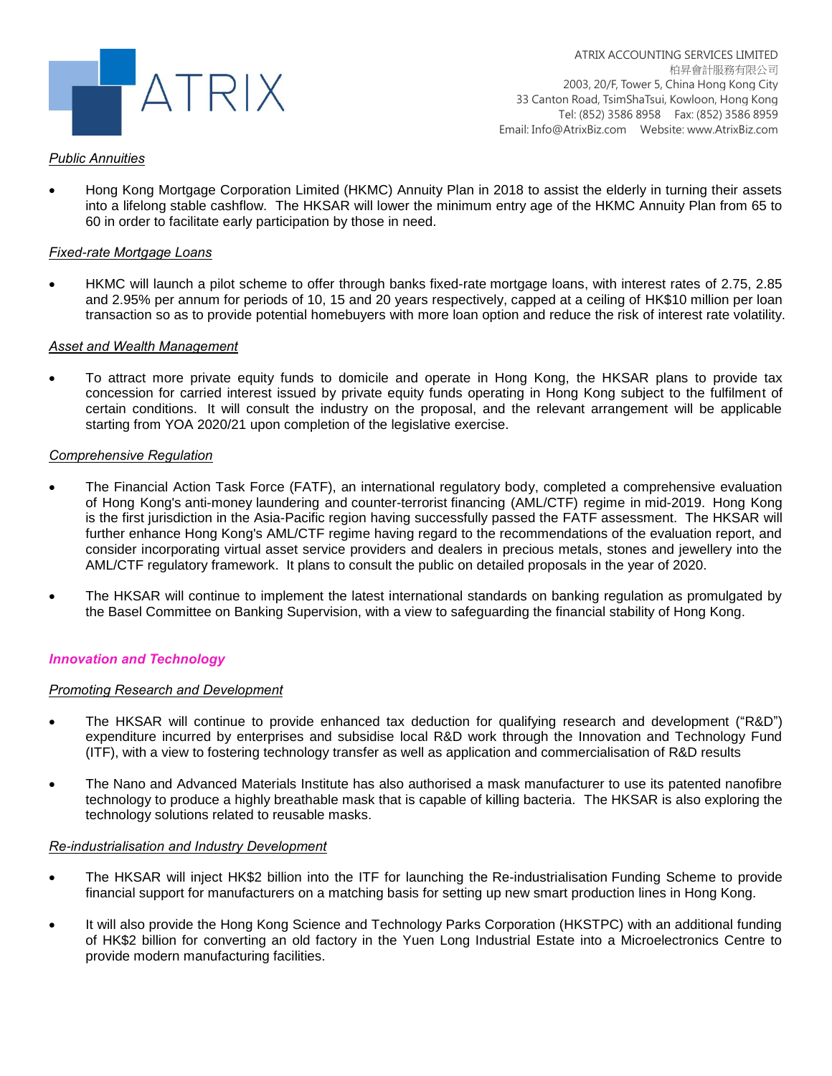

### *Public Annuities*

 Hong Kong Mortgage Corporation Limited (HKMC) Annuity Plan in 2018 to assist the elderly in turning their assets into a lifelong stable cashflow. The HKSAR will lower the minimum entry age of the HKMC Annuity Plan from 65 to 60 in order to facilitate early participation by those in need.

#### *Fixed-rate Mortgage Loans*

 HKMC will launch a pilot scheme to offer through banks fixed-rate mortgage loans, with interest rates of 2.75, 2.85 and 2.95% per annum for periods of 10, 15 and 20 years respectively, capped at a ceiling of HK\$10 million per loan transaction so as to provide potential homebuyers with more loan option and reduce the risk of interest rate volatility.

#### *Asset and Wealth Management*

 To attract more private equity funds to domicile and operate in Hong Kong, the HKSAR plans to provide tax concession for carried interest issued by private equity funds operating in Hong Kong subject to the fulfilment of certain conditions. It will consult the industry on the proposal, and the relevant arrangement will be applicable starting from YOA 2020/21 upon completion of the legislative exercise.

#### *Comprehensive Regulation*

- The Financial Action Task Force (FATF), an international regulatory body, completed a comprehensive evaluation of Hong Kong's anti-money laundering and counter-terrorist financing (AML/CTF) regime in mid-2019. Hong Kong is the first jurisdiction in the Asia-Pacific region having successfully passed the FATF assessment. The HKSAR will further enhance Hong Kong's AML/CTF regime having regard to the recommendations of the evaluation report, and consider incorporating virtual asset service providers and dealers in precious metals, stones and jewellery into the AML/CTF regulatory framework. It plans to consult the public on detailed proposals in the year of 2020.
- The HKSAR will continue to implement the latest international standards on banking regulation as promulgated by the Basel Committee on Banking Supervision, with a view to safeguarding the financial stability of Hong Kong.

#### *Innovation and Technology*

#### *Promoting Research and Development*

- The HKSAR will continue to provide enhanced tax deduction for qualifying research and development ("R&D") expenditure incurred by enterprises and subsidise local R&D work through the Innovation and Technology Fund (ITF), with a view to fostering technology transfer as well as application and commercialisation of R&D results
- The Nano and Advanced Materials Institute has also authorised a mask manufacturer to use its patented nanofibre technology to produce a highly breathable mask that is capable of killing bacteria. The HKSAR is also exploring the technology solutions related to reusable masks.

#### *Re-industrialisation and Industry Development*

- The HKSAR will inject HK\$2 billion into the ITF for launching the Re-industrialisation Funding Scheme to provide financial support for manufacturers on a matching basis for setting up new smart production lines in Hong Kong.
- It will also provide the Hong Kong Science and Technology Parks Corporation (HKSTPC) with an additional funding of HK\$2 billion for converting an old factory in the Yuen Long Industrial Estate into a Microelectronics Centre to provide modern manufacturing facilities.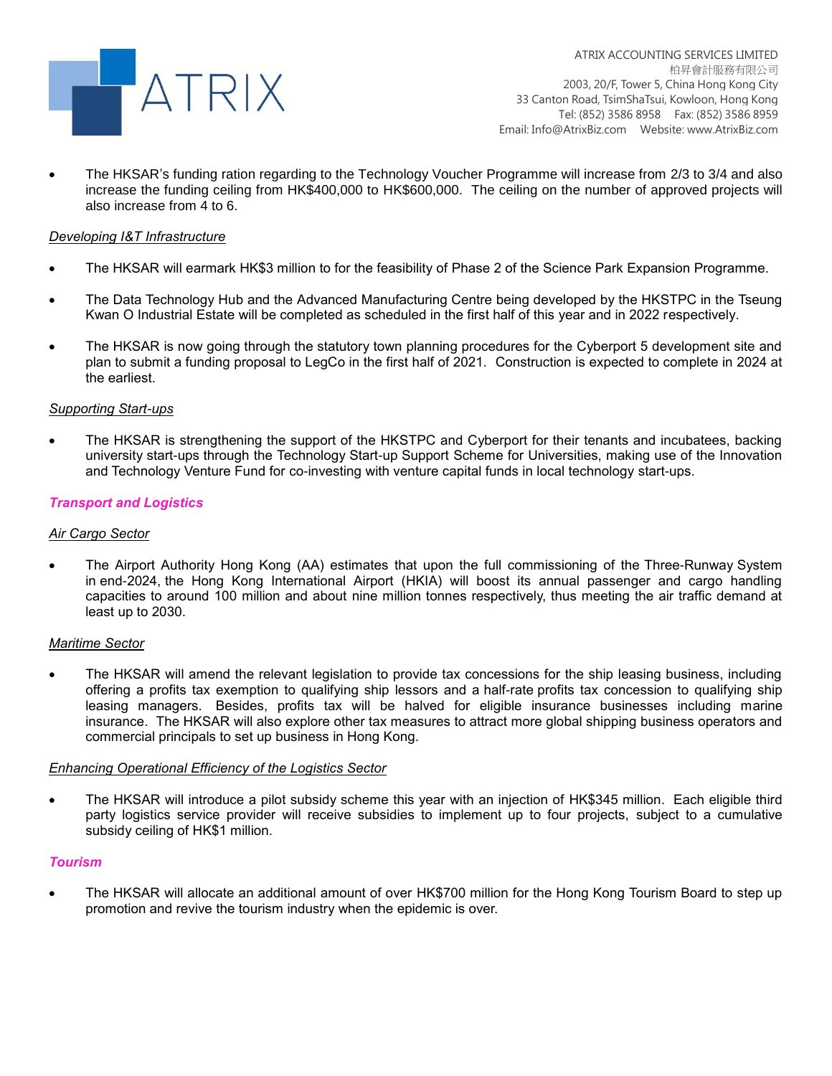

 The HKSAR's funding ration regarding to the Technology Voucher Programme will increase from 2/3 to 3/4 and also increase the funding ceiling from HK\$400,000 to HK\$600,000. The ceiling on the number of approved projects will also increase from 4 to 6.

## *Developing I&T Infrastructure*

- The HKSAR will earmark HK\$3 million to for the feasibility of Phase 2 of the Science Park Expansion Programme.
- The Data Technology Hub and the Advanced Manufacturing Centre being developed by the HKSTPC in the Tseung Kwan O Industrial Estate will be completed as scheduled in the first half of this year and in 2022 respectively.
- The HKSAR is now going through the statutory town planning procedures for the Cyberport 5 development site and plan to submit a funding proposal to LegCo in the first half of 2021. Construction is expected to complete in 2024 at the earliest.

#### *Supporting Start-ups*

 The HKSAR is strengthening the support of the HKSTPC and Cyberport for their tenants and incubatees, backing university start-ups through the Technology Start-up Support Scheme for Universities, making use of the Innovation and Technology Venture Fund for co-investing with venture capital funds in local technology start-ups.

#### *Transport and Logistics*

#### *Air Cargo Sector*

 The Airport Authority Hong Kong (AA) estimates that upon the full commissioning of the Three-Runway System in end-2024, the Hong Kong International Airport (HKIA) will boost its annual passenger and cargo handling capacities to around 100 million and about nine million tonnes respectively, thus meeting the air traffic demand at least up to 2030.

#### *Maritime Sector*

 The HKSAR will amend the relevant legislation to provide tax concessions for the ship leasing business, including offering a profits tax exemption to qualifying ship lessors and a half-rate profits tax concession to qualifying ship leasing managers. Besides, profits tax will be halved for eligible insurance businesses including marine insurance. The HKSAR will also explore other tax measures to attract more global shipping business operators and commercial principals to set up business in Hong Kong.

#### *Enhancing Operational Efficiency of the Logistics Sector*

 The HKSAR will introduce a pilot subsidy scheme this year with an injection of HK\$345 million. Each eligible third party logistics service provider will receive subsidies to implement up to four projects, subject to a cumulative subsidy ceiling of HK\$1 million.

#### *Tourism*

 The HKSAR will allocate an additional amount of over HK\$700 million for the Hong Kong Tourism Board to step up promotion and revive the tourism industry when the epidemic is over.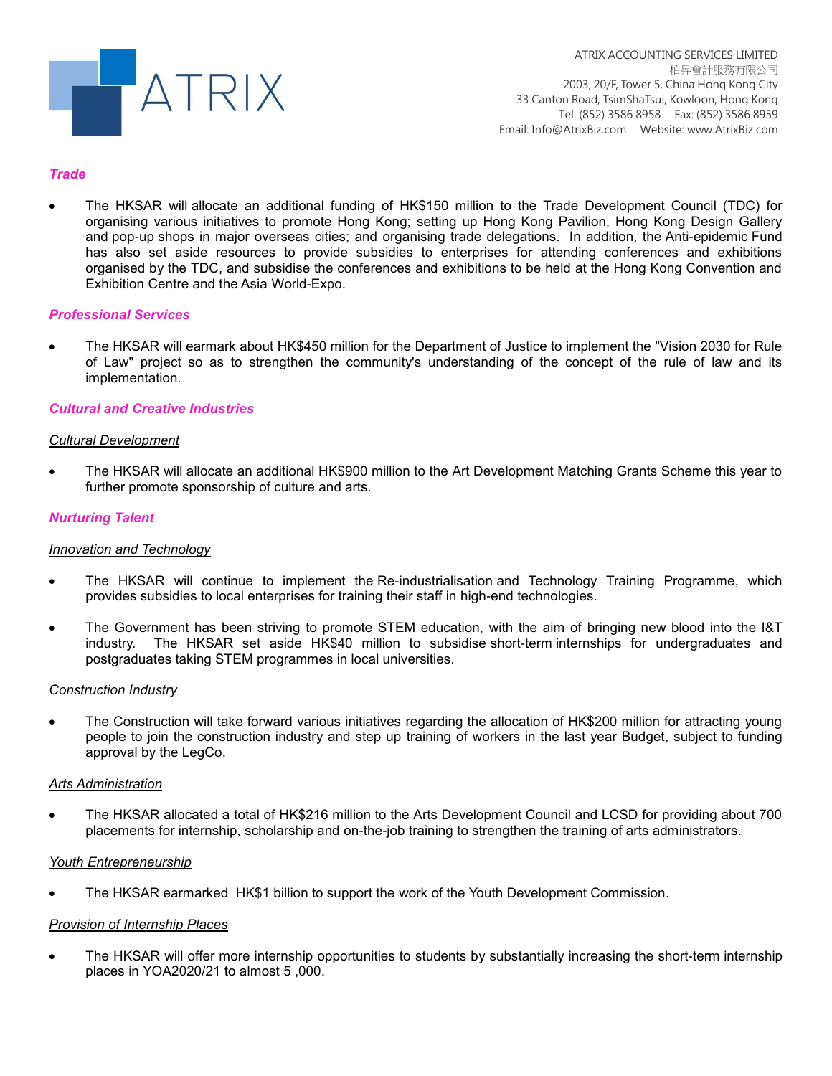

### *Trade*

 The HKSAR will allocate an additional funding of HK\$150 million to the Trade Development Council (TDC) for organising various initiatives to promote Hong Kong; setting up Hong Kong Pavilion, Hong Kong Design Gallery and pop-up shops in major overseas cities; and organising trade delegations. In addition, the Anti-epidemic Fund has also set aside resources to provide subsidies to enterprises for attending conferences and exhibitions organised by the TDC, and subsidise the conferences and exhibitions to be held at the Hong Kong Convention and Exhibition Centre and the Asia World-Expo.

#### *Professional Services*

 The HKSAR will earmark about HK\$450 million for the Department of Justice to implement the "Vision 2030 for Rule of Law" project so as to strengthen the community's understanding of the concept of the rule of law and its implementation.

#### *Cultural and Creative Industries*

#### *Cultural Development*

 The HKSAR will allocate an additional HK\$900 million to the Art Development Matching Grants Scheme this year to further promote sponsorship of culture and arts.

#### *Nurturing Talent*

#### *Innovation and Technology*

- The HKSAR will continue to implement the Re-industrialisation and Technology Training Programme, which provides subsidies to local enterprises for training their staff in high-end technologies.
- The Government has been striving to promote STEM education, with the aim of bringing new blood into the I&T industry. The HKSAR set aside HK\$40 million to subsidise short-term internships for undergraduates and postgraduates taking STEM programmes in local universities.

#### *Construction Industry*

 The Construction will take forward various initiatives regarding the allocation of HK\$200 million for attracting young people to join the construction industry and step up training of workers in the last year Budget, subject to funding approval by the LegCo.

#### *Arts Administration*

 The HKSAR allocated a total of HK\$216 million to the Arts Development Council and LCSD for providing about 700 placements for internship, scholarship and on-the-job training to strengthen the training of arts administrators.

#### *Youth Entrepreneurship*

The HKSAR earmarked HK\$1 billion to support the work of the Youth Development Commission.

#### *Provision of Internship Places*

• The HKSAR will offer more internship opportunities to students by substantially increasing the short-term internship places in YOA2020/21 to almost 5 ,000.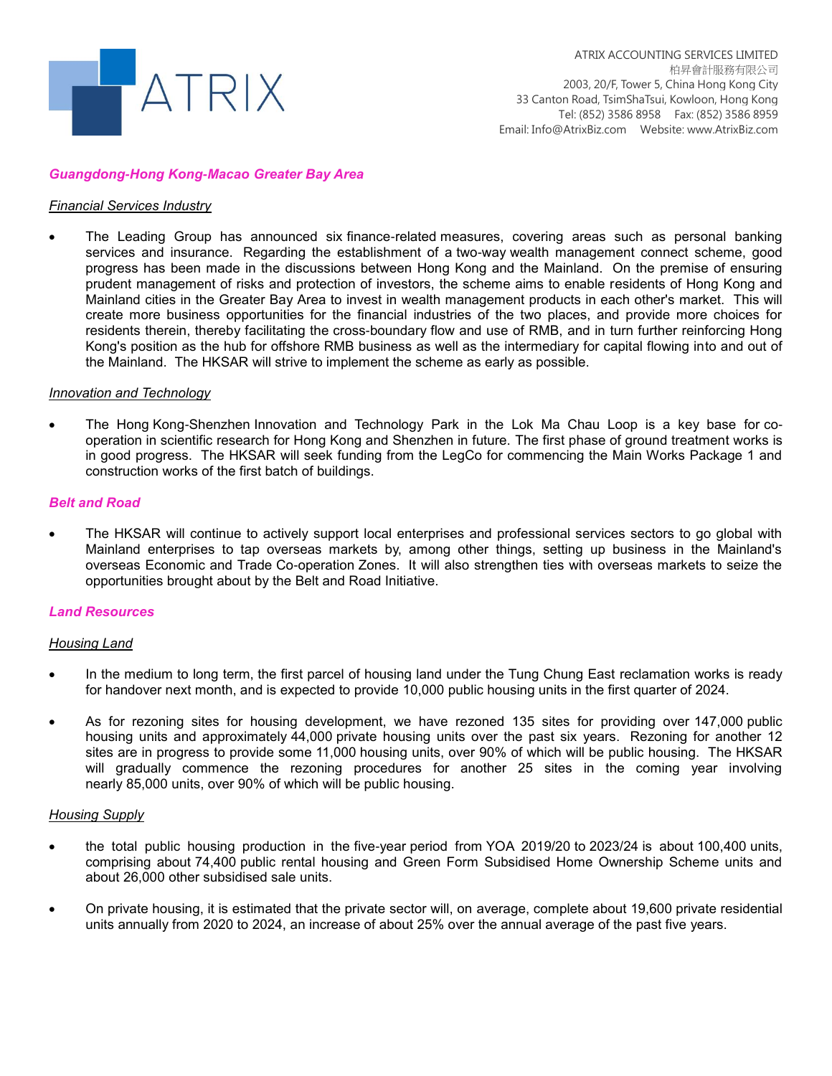

#### *Guangdong-Hong Kong-Macao Greater Bay Area*

#### *Financial Services Industry*

 The Leading Group has announced six finance-related measures, covering areas such as personal banking services and insurance. Regarding the establishment of a two-way wealth management connect scheme, good progress has been made in the discussions between Hong Kong and the Mainland. On the premise of ensuring prudent management of risks and protection of investors, the scheme aims to enable residents of Hong Kong and Mainland cities in the Greater Bay Area to invest in wealth management products in each other's market. This will create more business opportunities for the financial industries of the two places, and provide more choices for residents therein, thereby facilitating the cross-boundary flow and use of RMB, and in turn further reinforcing Hong Kong's position as the hub for offshore RMB business as well as the intermediary for capital flowing into and out of the Mainland. The HKSAR will strive to implement the scheme as early as possible.

#### *Innovation and Technology*

 The Hong Kong-Shenzhen Innovation and Technology Park in the Lok Ma Chau Loop is a key base for cooperation in scientific research for Hong Kong and Shenzhen in future. The first phase of ground treatment works is in good progress. The HKSAR will seek funding from the LegCo for commencing the Main Works Package 1 and construction works of the first batch of buildings.

#### *Belt and Road*

 The HKSAR will continue to actively support local enterprises and professional services sectors to go global with Mainland enterprises to tap overseas markets by, among other things, setting up business in the Mainland's overseas Economic and Trade Co-operation Zones. It will also strengthen ties with overseas markets to seize the opportunities brought about by the Belt and Road Initiative.

#### *Land Resources*

#### *Housing Land*

- In the medium to long term, the first parcel of housing land under the Tung Chung East reclamation works is ready for handover next month, and is expected to provide 10,000 public housing units in the first quarter of 2024.
- As for rezoning sites for housing development, we have rezoned 135 sites for providing over 147,000 public housing units and approximately 44,000 private housing units over the past six years. Rezoning for another 12 sites are in progress to provide some 11,000 housing units, over 90% of which will be public housing. The HKSAR will gradually commence the rezoning procedures for another 25 sites in the coming year involving nearly 85,000 units, over 90% of which will be public housing.

#### *Housing Supply*

- the total public housing production in the five-year period from YOA 2019/20 to 2023/24 is about 100,400 units, comprising about 74,400 public rental housing and Green Form Subsidised Home Ownership Scheme units and about 26,000 other subsidised sale units.
- On private housing, it is estimated that the private sector will, on average, complete about 19,600 private residential units annually from 2020 to 2024, an increase of about 25% over the annual average of the past five years.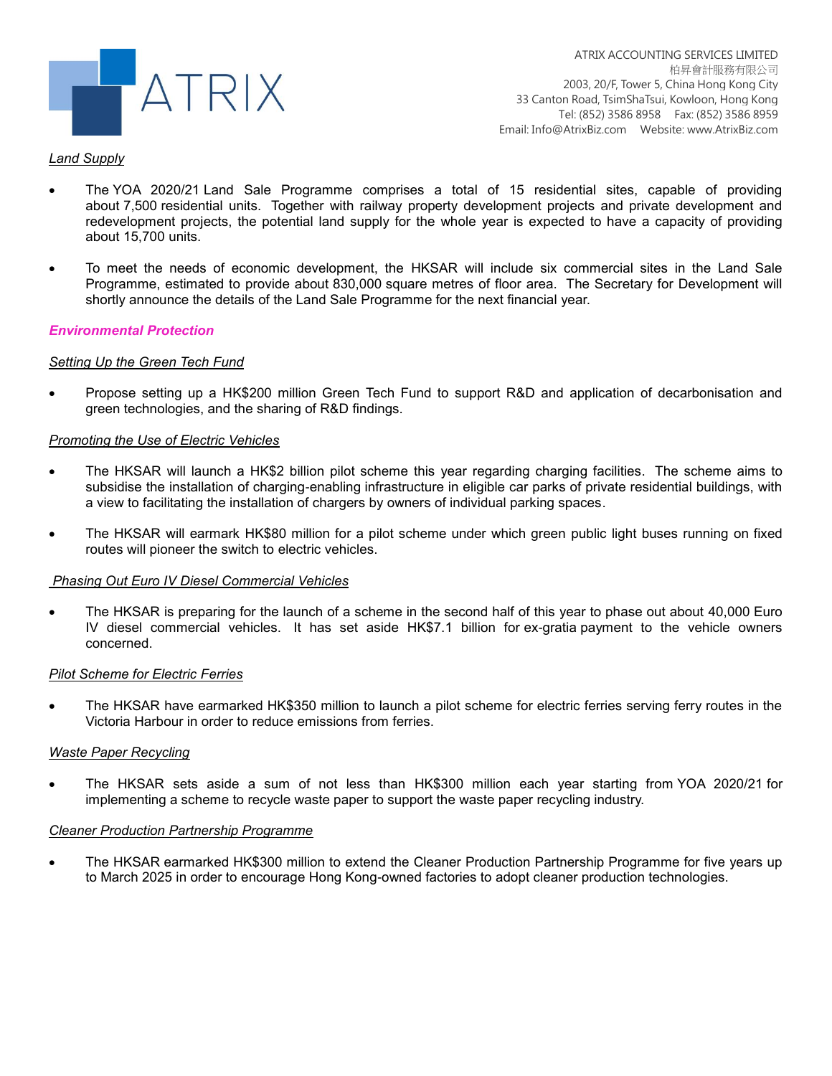

### *Land Supply*

- The YOA 2020/21 Land Sale Programme comprises a total of 15 residential sites, capable of providing about 7,500 residential units. Together with railway property development projects and private development and redevelopment projects, the potential land supply for the whole year is expected to have a capacity of providing about 15,700 units.
- To meet the needs of economic development, the HKSAR will include six commercial sites in the Land Sale Programme, estimated to provide about 830,000 square metres of floor area. The Secretary for Development will shortly announce the details of the Land Sale Programme for the next financial year.

#### *Environmental Protection*

## *Setting Up the Green Tech Fund*

 Propose setting up a HK\$200 million Green Tech Fund to support R&D and application of decarbonisation and green technologies, and the sharing of R&D findings.

#### *Promoting the Use of Electric Vehicles*

- The HKSAR will launch a HK\$2 billion pilot scheme this year regarding charging facilities. The scheme aims to subsidise the installation of charging-enabling infrastructure in eligible car parks of private residential buildings, with a view to facilitating the installation of chargers by owners of individual parking spaces.
- The HKSAR will earmark HK\$80 million for a pilot scheme under which green public light buses running on fixed routes will pioneer the switch to electric vehicles.

#### *Phasing Out Euro IV Diesel Commercial Vehicles*

 The HKSAR is preparing for the launch of a scheme in the second half of this year to phase out about 40,000 Euro IV diesel commercial vehicles. It has set aside HK\$7.1 billion for ex-gratia payment to the vehicle owners concerned.

#### *Pilot Scheme for Electric Ferries*

 The HKSAR have earmarked HK\$350 million to launch a pilot scheme for electric ferries serving ferry routes in the Victoria Harbour in order to reduce emissions from ferries.

#### *Waste Paper Recycling*

 The HKSAR sets aside a sum of not less than HK\$300 million each year starting from YOA 2020/21 for implementing a scheme to recycle waste paper to support the waste paper recycling industry.

#### *Cleaner Production Partnership Programme*

 The HKSAR earmarked HK\$300 million to extend the Cleaner Production Partnership Programme for five years up to March 2025 in order to encourage Hong Kong-owned factories to adopt cleaner production technologies.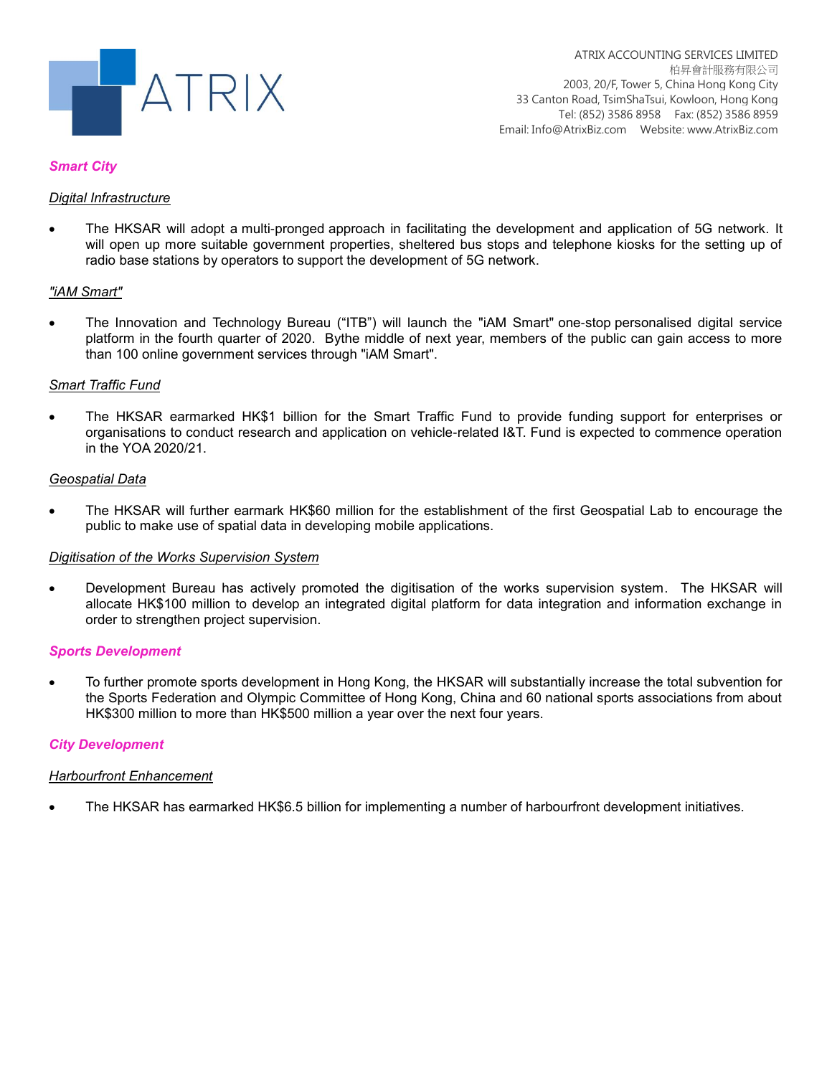

### *Smart City*

## *Digital Infrastructure*

 The HKSAR will adopt a multi-pronged approach in facilitating the development and application of 5G network. It will open up more suitable government properties, sheltered bus stops and telephone kiosks for the setting up of radio base stations by operators to support the development of 5G network.

## *"iAM Smart"*

 The Innovation and Technology Bureau ("ITB") will launch the "iAM Smart" one-stop personalised digital service platform in the fourth quarter of 2020. Bythe middle of next year, members of the public can gain access to more than 100 online government services through "iAM Smart".

#### *Smart Traffic Fund*

 The HKSAR earmarked HK\$1 billion for the Smart Traffic Fund to provide funding support for enterprises or organisations to conduct research and application on vehicle-related I&T. Fund is expected to commence operation in the YOA 2020/21.

#### *Geospatial Data*

 The HKSAR will further earmark HK\$60 million for the establishment of the first Geospatial Lab to encourage the public to make use of spatial data in developing mobile applications.

#### *Digitisation of the Works Supervision System*

 Development Bureau has actively promoted the digitisation of the works supervision system. The HKSAR will allocate HK\$100 million to develop an integrated digital platform for data integration and information exchange in order to strengthen project supervision.

#### *Sports Development*

 To further promote sports development in Hong Kong, the HKSAR will substantially increase the total subvention for the Sports Federation and Olympic Committee of Hong Kong, China and 60 national sports associations from about HK\$300 million to more than HK\$500 million a year over the next four years.

## *City Development*

#### *Harbourfront Enhancement*

The HKSAR has earmarked HK\$6.5 billion for implementing a number of harbourfront development initiatives.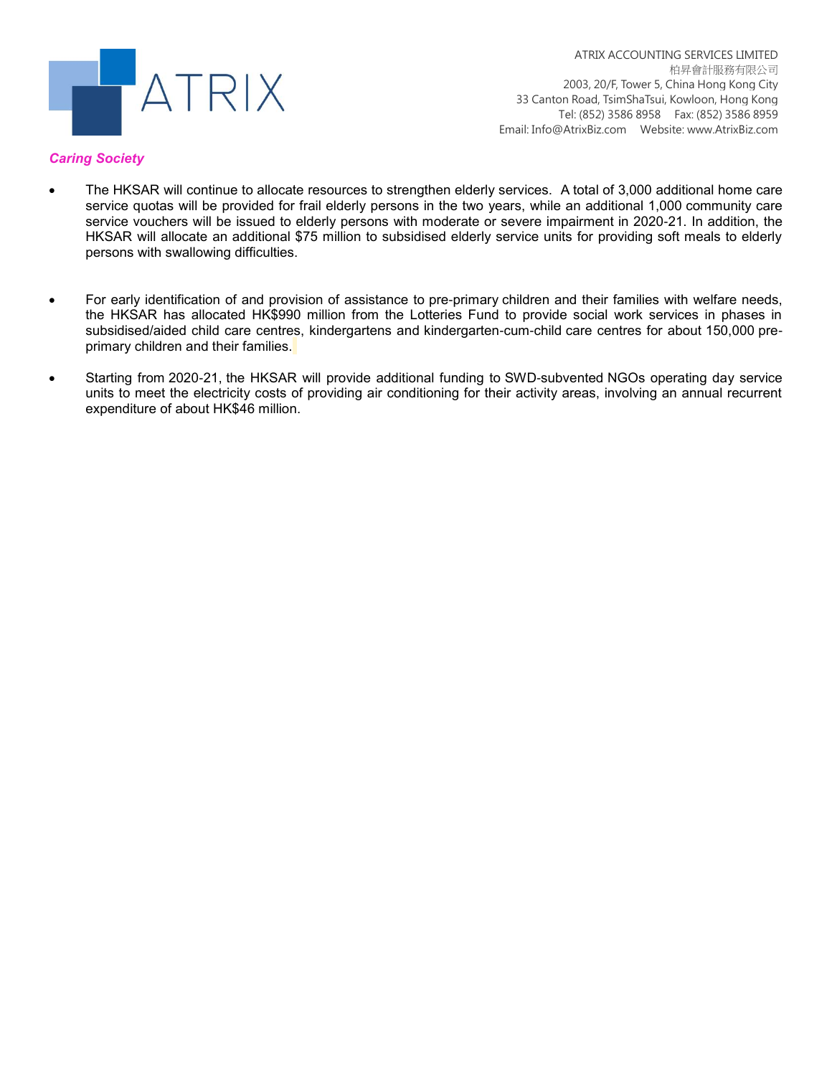

## *Caring Society*

- The HKSAR will continue to allocate resources to strengthen elderly services. A total of 3,000 additional home care service quotas will be provided for frail elderly persons in the two years, while an additional 1,000 community care service vouchers will be issued to elderly persons with moderate or severe impairment in 2020-21. In addition, the HKSAR will allocate an additional \$75 million to subsidised elderly service units for providing soft meals to elderly persons with swallowing difficulties.
- For early identification of and provision of assistance to pre-primary children and their families with welfare needs, the HKSAR has allocated HK\$990 million from the Lotteries Fund to provide social work services in phases in subsidised/aided child care centres, kindergartens and kindergarten-cum-child care centres for about 150,000 preprimary children and their families.
- Starting from 2020-21, the HKSAR will provide additional funding to SWD-subvented NGOs operating day service units to meet the electricity costs of providing air conditioning for their activity areas, involving an annual recurrent expenditure of about HK\$46 million.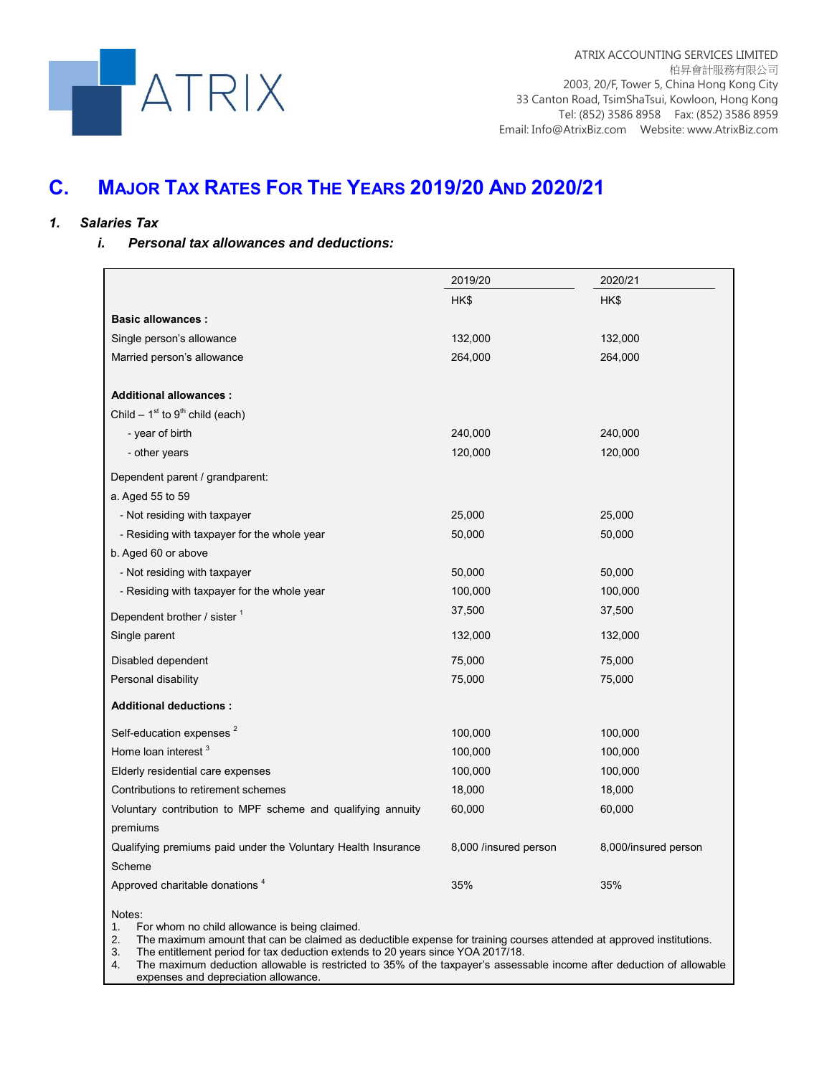

# **C. MAJOR TAX RATES FOR THE YEARS 2019/20 AND 2020/21**

## *1. Salaries Tax*

#### *i. Personal tax allowances and deductions:*

|                                                               | 2019/20               | 2020/21              |
|---------------------------------------------------------------|-----------------------|----------------------|
|                                                               | HK\$                  | HK\$                 |
| <b>Basic allowances:</b>                                      |                       |                      |
| Single person's allowance                                     | 132,000               | 132,000              |
| Married person's allowance                                    | 264,000               | 264,000              |
|                                                               |                       |                      |
| <b>Additional allowances:</b>                                 |                       |                      |
| Child $-1st$ to 9 <sup>th</sup> child (each)                  |                       |                      |
| - year of birth                                               | 240,000               | 240,000              |
| - other years                                                 | 120,000               | 120,000              |
| Dependent parent / grandparent:                               |                       |                      |
| a. Aged 55 to 59                                              |                       |                      |
| - Not residing with taxpayer                                  | 25,000                | 25,000               |
| - Residing with taxpayer for the whole year                   | 50,000                | 50,000               |
| b. Aged 60 or above                                           |                       |                      |
| - Not residing with taxpayer                                  | 50,000                | 50,000               |
| - Residing with taxpayer for the whole year                   | 100,000               | 100,000              |
| Dependent brother / sister 1                                  | 37,500                | 37,500               |
| Single parent                                                 | 132,000               | 132,000              |
| Disabled dependent                                            | 75,000                | 75,000               |
| Personal disability                                           | 75,000                | 75,000               |
| <b>Additional deductions:</b>                                 |                       |                      |
| Self-education expenses <sup>2</sup>                          | 100,000               | 100,000              |
| Home loan interest <sup>3</sup>                               | 100,000               | 100,000              |
| Elderly residential care expenses                             | 100,000               | 100,000              |
| Contributions to retirement schemes                           | 18,000                | 18,000               |
| Voluntary contribution to MPF scheme and qualifying annuity   | 60,000                | 60,000               |
| premiums                                                      |                       |                      |
| Qualifying premiums paid under the Voluntary Health Insurance | 8,000 /insured person | 8,000/insured person |
| Scheme                                                        |                       |                      |
| Approved charitable donations <sup>4</sup>                    | 35%                   | 35%                  |
| Notes:                                                        |                       |                      |

1. For whom no child allowance is being claimed.

2. The maximum amount that can be claimed as deductible expense for training courses attended at approved institutions.

3. The entitlement period for tax deduction extends to 20 years since YOA 2017/18.

4. The maximum deduction allowable is restricted to 35% of the taxpayer's assessable income after deduction of allowable expenses and depreciation allowance.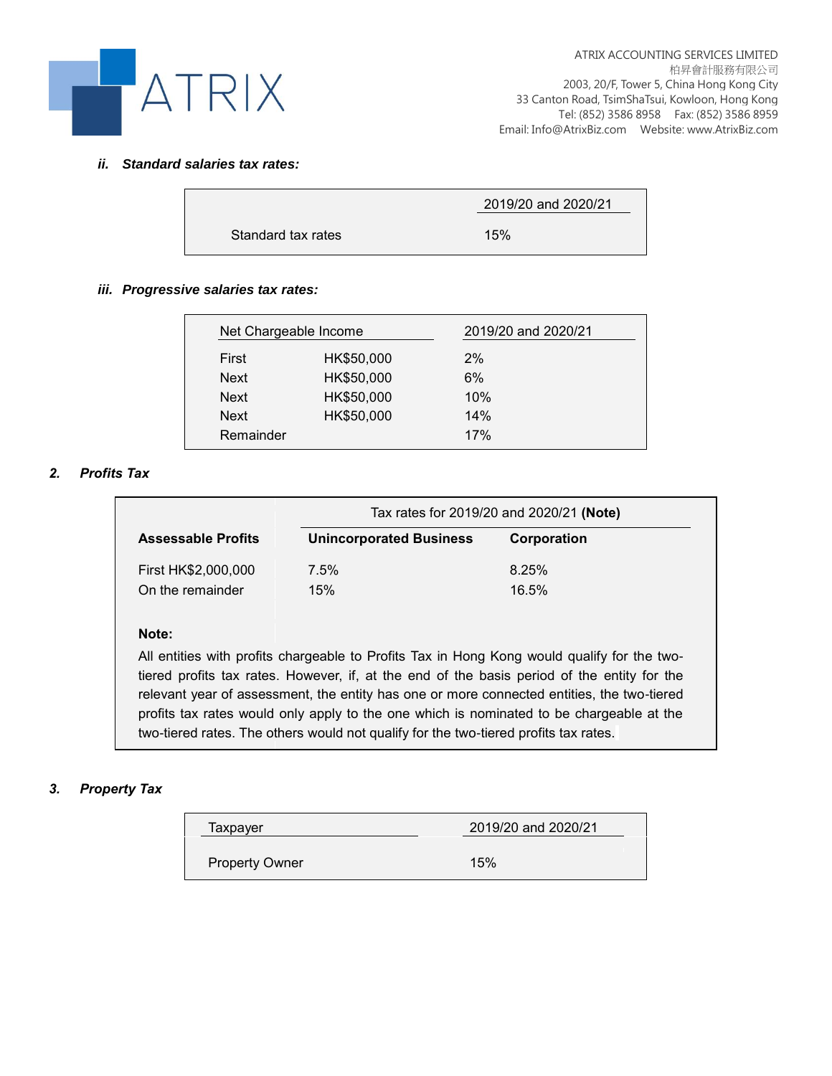

## *ii. Standard salaries tax rates:*

|                    | 2019/20 and 2020/21 |
|--------------------|---------------------|
| Standard tax rates | 15%                 |

## *iii. Progressive salaries tax rates:*

|             | Net Chargeable Income | 2019/20 and 2020/21 |
|-------------|-----------------------|---------------------|
| First       | HK\$50,000            | 2%                  |
| <b>Next</b> | HK\$50,000            | 6%                  |
| <b>Next</b> | HK\$50,000            | 10%                 |
| <b>Next</b> | HK\$50,000            | 14%                 |
| Remainder   |                       | 17%                 |

## *2. Profits Tax*

|                           | Tax rates for 2019/20 and 2020/21 (Note) |             |  |
|---------------------------|------------------------------------------|-------------|--|
| <b>Assessable Profits</b> | <b>Unincorporated Business</b>           | Corporation |  |
| First HK\$2,000,000       | $7.5\%$                                  | 8.25%       |  |
| On the remainder          | 15%                                      | 16.5%       |  |

## **Note:**

All entities with profits chargeable to Profits Tax in Hong Kong would qualify for the twotiered profits tax rates. However, if, at the end of the basis period of the entity for the relevant year of assessment, the entity has one or more connected entities, the two-tiered profits tax rates would only apply to the one which is nominated to be chargeable at the two-tiered rates. The others would not qualify for the two-tiered profits tax rates.

## *3. Property Tax*

| Taxpayer              | 2019/20 and 2020/21 |
|-----------------------|---------------------|
| <b>Property Owner</b> | 15%                 |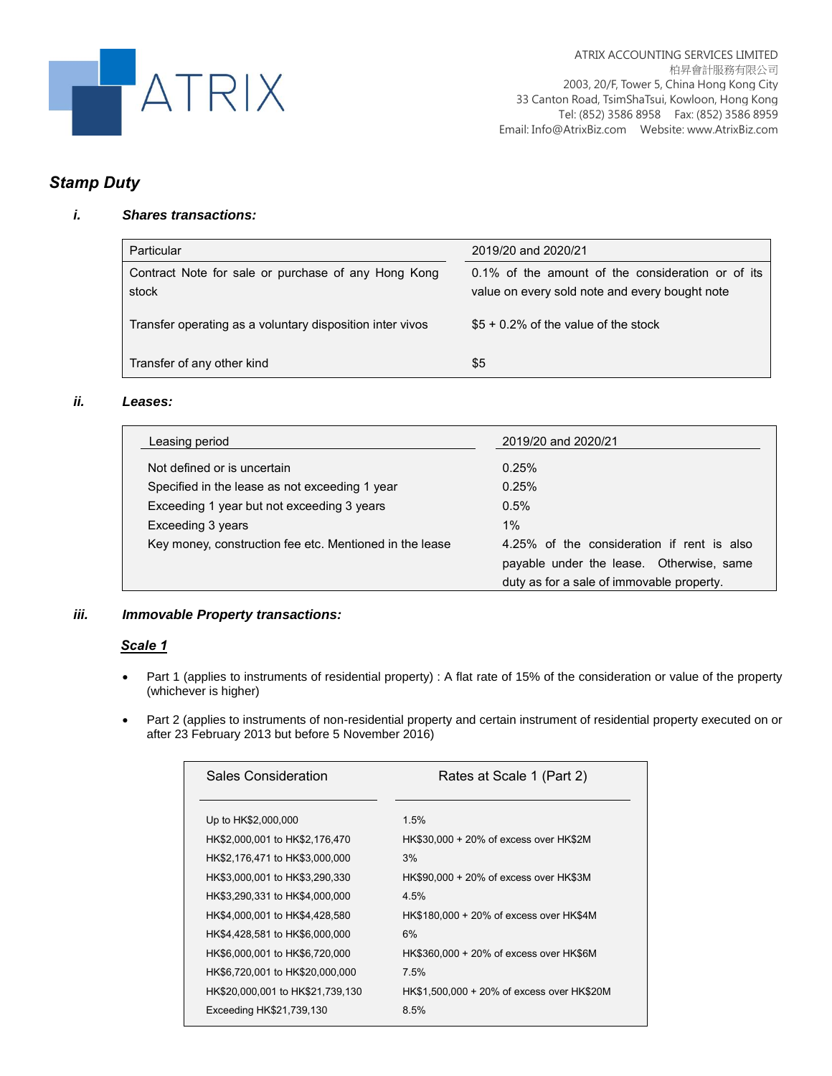

## *Stamp Duty*

## *i. Shares transactions:*

| Particular                                                   | 2019/20 and 2020/21                                                                                 |
|--------------------------------------------------------------|-----------------------------------------------------------------------------------------------------|
| Contract Note for sale or purchase of any Hong Kong<br>stock | 0.1% of the amount of the consideration or of its<br>value on every sold note and every bought note |
| Transfer operating as a voluntary disposition inter vivos    | $$5 + 0.2\%$ of the value of the stock                                                              |
| Transfer of any other kind                                   | \$5                                                                                                 |

## *ii. Leases:*

| Leasing period                                          | 2019/20 and 2020/21                        |
|---------------------------------------------------------|--------------------------------------------|
| Not defined or is uncertain                             | 0.25%                                      |
| Specified in the lease as not exceeding 1 year          | 0.25%                                      |
| Exceeding 1 year but not exceeding 3 years              | $0.5\%$                                    |
| Exceeding 3 years                                       | $1\%$                                      |
| Key money, construction fee etc. Mentioned in the lease | 4.25% of the consideration if rent is also |
|                                                         | payable under the lease. Otherwise, same   |
|                                                         | duty as for a sale of immovable property.  |

## *iii. Immovable Property transactions:*

## *Scale 1*

- Part 1 (applies to instruments of residential property) : A flat rate of 15% of the consideration or value of the property (whichever is higher)
- Part 2 (applies to instruments of non-residential property and certain instrument of residential property executed on or after 23 February 2013 but before 5 November 2016)

| Sales Consideration              | Rates at Scale 1 (Part 2)                  |
|----------------------------------|--------------------------------------------|
|                                  |                                            |
| Up to HK\$2,000,000              | 1.5%                                       |
| HK\$2,000,001 to HK\$2,176,470   | HK\$30,000 + 20% of excess over HK\$2M     |
| HK\$2,176,471 to HK\$3,000,000   | 3%                                         |
| HK\$3,000,001 to HK\$3,290,330   | HK\$90,000 + 20% of excess over HK\$3M     |
| HK\$3,290,331 to HK\$4,000,000   | 4.5%                                       |
| HK\$4,000,001 to HK\$4,428,580   | HK\$180,000 + 20% of excess over HK\$4M    |
| HK\$4,428,581 to HK\$6,000,000   | 6%                                         |
| HK\$6,000,001 to HK\$6,720,000   | HK\$360,000 + 20% of excess over HK\$6M    |
| HK\$6,720,001 to HK\$20,000,000  | 7.5%                                       |
| HK\$20,000,001 to HK\$21,739,130 | HK\$1.500.000 + 20% of excess over HK\$20M |
| Exceeding HK\$21,739,130         | 8.5%                                       |
|                                  |                                            |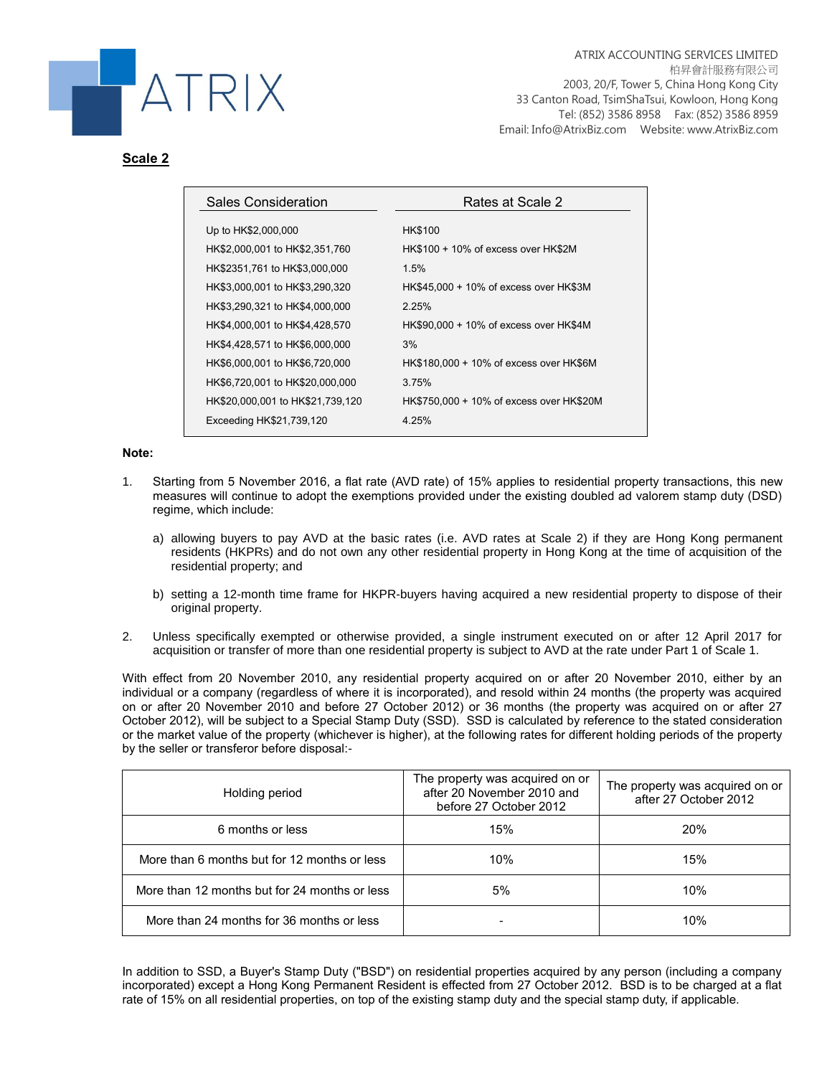

## **Scale 2**

| Rates at Scale 2                         |
|------------------------------------------|
| <b>HK\$100</b>                           |
| HK\$100 + 10% of excess over HK\$2M      |
| 1.5%                                     |
| HK\$45,000 + 10% of excess over HK\$3M   |
| 2.25%                                    |
| HK\$90,000 + 10% of excess over HK\$4M   |
| 3%                                       |
| HK\$180,000 + 10% of excess over HK\$6M  |
| 3.75%                                    |
| HK\$750,000 + 10% of excess over HK\$20M |
| 4.25%                                    |
|                                          |

#### **Note:**

- 1. Starting from 5 November 2016, a flat rate (AVD rate) of 15% applies to residential property transactions, this new measures will continue to adopt the exemptions provided under the existing doubled ad valorem stamp duty (DSD) regime, which include:
	- a) allowing buyers to pay AVD at the basic rates (i.e. AVD rates at Scale 2) if they are Hong Kong permanent residents (HKPRs) and do not own any other residential property in Hong Kong at the time of acquisition of the residential property; and
	- b) setting a 12-month time frame for HKPR-buyers having acquired a new residential property to dispose of their original property.
- 2. Unless specifically exempted or otherwise provided, a single instrument executed on or after 12 April 2017 for acquisition or transfer of more than one residential property is subject to AVD at the rate under Part 1 of Scale 1.

With effect from 20 November 2010, any residential property acquired on or after 20 November 2010, either by an individual or a company (regardless of where it is incorporated), and resold within 24 months (the property was acquired on or after 20 November 2010 and before 27 October 2012) or 36 months (the property was acquired on or after 27 October 2012), will be subject to a Special Stamp Duty (SSD). SSD is calculated by reference to the stated consideration or the market value of the property (whichever is higher), at the following rates for different holding periods of the property by the seller or transferor before disposal:-

| Holding period                                | The property was acquired on or<br>after 20 November 2010 and<br>before 27 October 2012 | The property was acquired on or<br>after 27 October 2012 |
|-----------------------------------------------|-----------------------------------------------------------------------------------------|----------------------------------------------------------|
| 6 months or less                              | 15%                                                                                     | <b>20%</b>                                               |
| More than 6 months but for 12 months or less  | 10%                                                                                     | 15%                                                      |
| More than 12 months but for 24 months or less | 5%                                                                                      | 10%                                                      |
| More than 24 months for 36 months or less     | -                                                                                       | 10%                                                      |

In addition to SSD, a Buyer's Stamp Duty ("BSD") on residential properties acquired by any person (including a company incorporated) except a Hong Kong Permanent Resident is effected from 27 October 2012. BSD is to be charged at a flat rate of 15% on all residential properties, on top of the existing stamp duty and the special stamp duty, if applicable.